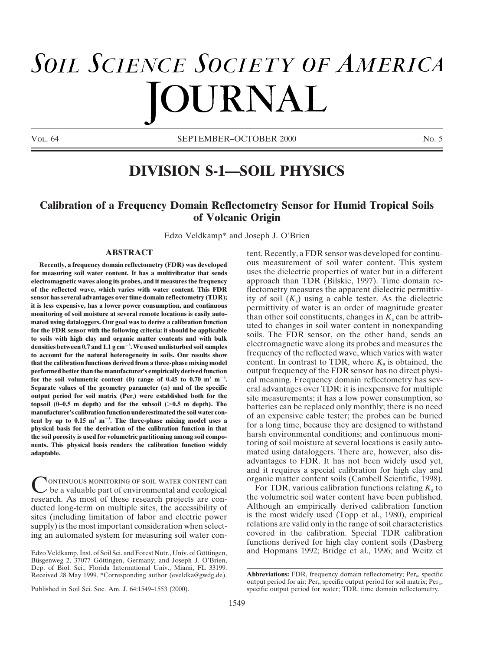# **SOIL SCIENCE SOCIETY OF AMERICA** URNAL

Vol. 64 SEPTEMBER–OCTOBER 2000

## **DIVISION S-1—SOIL PHYSICS**

### **Calibration of a Frequency Domain Reflectometry Sensor for Humid Tropical Soils of Volcanic Origin**

Edzo Veldkamp\* and Joseph J. O'Brien

**for measuring soil water content. It has a multivibrator that sends** uses the dielectric properties of water but in a different **electromagnetic waves along its probes, and it measures the frequency** approach than TDR (Bilskie, 1997). Time domain re**of the reflected wave, which varies with water content. This FDR** flectometry measures the apparent dielectric permittiv-<br>sensor has several advantages over time domain reflectometry (TDR); ity of soil  $(K)$  using a cable sensor has several advantages over time domain reflectometry (TDR);<br>it is less expensive, has a lower power consumption, and continuous<br>monitoring of soil moisture at several remote locations is easily auto-<br>mated using d mated using dataloggers. Our goal was to derive a calibration function<br>for the FDR sensor with the following criteria: it should be applicable<br>to soils with high clay and organic matter contents and with bulk<br>densities bet densities between 0.7 and 1.1 g cm<sup>-3</sup>. We used undisturbed soil samples to account for the natural heterogeneity in soils. Our results show frequency of the reflected wave, which varies with water that the calibration functions derived from a three-phase mixing model content. In contrast to TDR, where  $K_a$  is obtained, the **performed better than the manufacturer's empirically derived function** output frequency of the FDR sensor has no direct physifor the soil volumetric content  $(\theta)$  range of 0.45 to 0.70 m<sup>3</sup> m<sup>-3</sup>. for the soil volumetric content ( $\theta$ ) range of 0.45 to 0.70 m<sup>3</sup> m<sup>-3</sup>. cal meaning. Frequency domain reflectometry has sev-<br>Separate values of the geometry parameter ( $\alpha$ ) and of the specific eral advantages over TDR: **Separate values of the geometry parameter**  $(\alpha)$  **and of the specific eral advantages over TDR: it is inexpensive for multiple output period for soil matrix (Per<sub>s</sub>) were established both for the site measurements: it has** output period for soil matrix (Per<sub>s</sub>) were established both for the<br>topsoil (0–0.5 m depth) and for the subsoil (>0.5 m depth). The<br>manufacturer's calibration function underestimated the soil water con-<br>tent by up to 0.1 physical basis for the derivation of the calibration function in that<br>the soil porosity is used for volumetric partitioning among soil compo-<br>harsh environmental conditions; and continuous moni**nents.** This physical basis renders the calibration function widely toring of soil moisture at several locations is easily auto**adaptable. adaptable. adaptable. adaptable. and and a** mated using dataloggers. There are, however, also dis-

**CONTINUOUS MONITORING OF SOIL WATER CONTENT CAN SET CONTINUOUS MONITORING OF SOIL WATER CONTENT CAN SET CONTIDER, various calibration functions relating**  $K_a$  **to For TDR, various calibration functions relating**  $K_a$  **to the** the volumetric soil water content have been published.<br>
research. As most of these research projects are con-<br>
the volumetric soil water content have been published.<br>
ducted long-term on multiple sites the accessibility of ducted long-term on multiple sites, the accessibility of Although an empirically derived calibration function sites (including limitation of labor and electric power is the most widely used (Topp et al., 1980), empirical sites (including limitation of labor and electric power<br>supply) is the most important consideration when select<br>relations are valid only in the range of soil characteristics<br>in a automated system for measuring soil water c ing an automated system for measuring soil water con-

**ABSTRACT** tent. Recently, a FDR sensor was developed for continu-**Recently, a frequency domain reflectometry (FDR) was developed** ous measurement of soil water content. This system advantages to FDR. It has not been widely used yet, and it requires a special calibration for high clay and

functions derived for high clay content soils (Dasberg Edzo Veldkamp, Inst. of Soil Sci. and Forest Nutr., Univ. of Göttingen, and Hopmans 1992; Bridge et al., 1996; and Weitz et

Büsgenweg 2, 37077 Göttingen, Germany; and Joseph J. O'Brien, Dep. of Biol. Sci., Florida International Univ., Miami, FL 33199. Received 28 May 1999. \*Corresponding author (eveldka@gwdg.de). **Abbreviations:** FDR, frequency domain reflectometry; Per<sub>a</sub>, specific

output period for air; Per<sub>s</sub>, specific output period for soil matrix; Per<sub>w</sub>, Published in Soil Sci. Soc. Am. J. 64:1549–1553 (2000). specific output period for water; TDR, time domain reflectometry.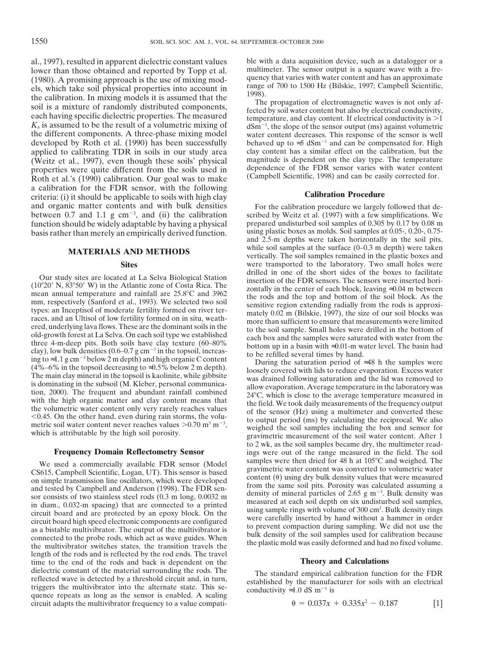Nower than those obtained and reported by Topp et al.<br>
(1980). A promising approach is the use of mixing mod-<br>
els, which take soil physical properties into account in<br>
the calibration. In mixing models it is assumed that each having specific different properties. The measured<br>  $K_a$  is assumed to be the result of a volumetric mixing of  $K_a$  is assumed to be the result of a volumetric mixing of  $dSm^{-1}$ , the slope of the sensor output (ms) a the different components. A three-phase mixing model water content decreases. This response of the sensor is well developed by Roth et al. (1990) has been successfully behaved up to  $\approx$  5 dSm<sup>-1</sup> and can be compensated f applied to calibrating TDR in soils in our study area clay content has a similar effect on the calibration, but the (Weitz et al. 1997) even though these soils' physical magnitude is dependent on the clay type. The tempera (Weitz et al., 1997), even though these soils' physical magnitude is dependent on the clay type. The temperature<br>properties were quite different from the soils used in dependence of the FDR sensor varies with water content properties were quite different from the soils used in dependence of the FDR sensor varies with water content<br>Roth et al.'s (1990) calibration. Our goal was to make (Campbell Scientific, 1998) and can be easily corrected f a calibration for the FDR sensor, with the following **Calibration Procedure** criteria: (i) it should be applicable to soils with high clay **Calibration Procedure** and organic matter contents and with bulk densities For the calibration procedure we largely followed that debetween 0.7 and 1.1 g cm<sup>-3</sup>, and (ii) the calibration scribed by Weitz et al. (1997) with a few simplifications. We function should be widely adaptable by having a physical prepared undisturbed soil samples of 0.305 by 0.17 by 0.08 m<br>has extended that prepared function prepared to using plastic boxes as molds. Soil samples at 0.05-, 0.2 basis rather than merely an empirically derived function.

Our study sites are located at La Selva Biological Station<br>
insertion of the FDR sensors. The sensors to facilitate<br>
(10720<sup>1</sup> NR 38°50' W) in the Atlantic zone of Costa Rica. The<br>
insertion of the FDR sensors. The sensor

CS615, Campbell Scientific, Logan, UT). This sensor is based<br>on simple transmission line oscillators, which were developed<br>and tested by Campbell and Anderson (1998). The FDR sen-<br>sor consists of two stainless steel rods in diam., 0.032-m spacing) that are connected to a printed<br>circuit board and are protected by an epoxy block. On the<br>circuit board and are protected by an epoxy block. On the circuit board and are proceeded by an epoxy block. On the were carefully inserted by hand without a hammer in order<br>circuit board high speed electronic components are configured<br>as a bistable multivibrator. The output of t length of the rods and is reflected by the rod ends. The travel time to the end of the rods and back is dependent on the **Theory and Calculations**<br>dielectric constant of the material surrounding the rods. The **The standard empirical calibration** function dielectric constant of the material surrounding the rods. The<br>reflected wave is detected by a threshold circuit and, in turn,<br>triggers the multivibrator into the alternate state. This se-<br>quence repeats as long as the sen circuit adapts the multivibrator frequency to a value compati-

al., 1997), resulted in apparent dielectric constant values ble with a data acquisition device, such as a datalogger or a lower than those obtained and reported by Topp et al unultimeter. The sensor output is a square wave

 $dSm^{-1}$ , the slope of the sensor output (ms) against volumetric behaved up to  $\approx$ 5 dSm<sup>-1</sup> and can be compensated for. High

and  $2.5$ -m depths were taken horizontally in the soil pits, while soil samples at the surface  $(0-0.3 \text{ m depth})$  were taken **MATERIALS AND METHODS** while soli samples at the surface (0–0.3 m depth) were taken vertically. The soil samples remained in the plastic boxes and **Sites** were transported to the laboratory. Two small holes were drilled in one of the short sides of the boxes to facilitate

 $\sim$ 0.45. On the other hand, even during rain storms, the volu-<br>metric soil water content never reaches values  $>$ 0.70 m<sup>3</sup> m<sup>-3</sup>, weighed the soil samples including the box and sensor for<br>which is attributable by the hig to 2 wk, as the soil samples became dry, the multimeter read-**Frequency Domain Reflectometry Sensor** ings were out of the range measured in the field. The soil We used a commercially available FDR sensor (Model samples were then dried for 48 h at 105°C and weighed. The state of the state samples were then dried for 48 h at 105°C and weighed. The state state of the state of the st

$$
\theta = 0.037x + 0.335x^2 - 0.187
$$
 [1]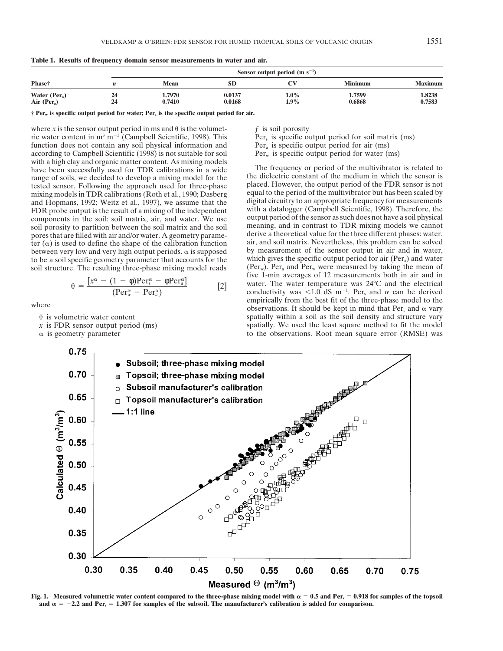| Phase†                                     | Sensor output period $(m s^{-1})$ |                  |                  |                 |                  |                  |  |  |  |
|--------------------------------------------|-----------------------------------|------------------|------------------|-----------------|------------------|------------------|--|--|--|
|                                            |                                   | Mean             | SD               |                 | <b>Minimum</b>   | <b>Maximum</b>   |  |  |  |
| Water $(Per_w)$<br>Air (Per <sub>a</sub> ) | -24<br>24                         | 1.7970<br>0.7410 | 0.0137<br>0.0168 | $1.0\%$<br>1.9% | 1.7599<br>0.6868 | 1.8238<br>0.7583 |  |  |  |

**Table 1. Results of frequency domain sensor measurements in water and air.**

**† Perw is specific output period for water; Pera is the specific output period for air.**

where *x* is the sensor output period in ms and  $\theta$  is the volumet-  $f$  is soil porosity ric water content in m<sup>3</sup> m<sup>-3</sup> (Campbell Scientific, 1998). This Per<sub>s</sub> is specific or function does not contain any soil physical information and  $Per_a$  is specific output period for air (ms) according to Campbell Scientific (1998) is not suitable for soil  $Per_w$  is specific output period for water (ms) according to Campbell Scientific (1998) is not suitable for soil with a high clay and organic matter content. As mixing models have been successfully used for TDR calibrations in a wide<br>
range of soils, we decided to develop a mixing model for the<br>
tested sensor. Following the approach used for three-phase<br>
mixing models in TDR calibrations (Roth mixing models in TDR calibrations (Roth et al., 1990; Dasberg equal to the period of the multivibrator but has been scaled by<br>and Hopmans, 1992; Weitz et al., 1997), we assume that the digital circuitry to an appropriate f and Hopmans, 1992; Weitz et al., 1997), we assume that the digital circuitry to an appropriate frequency for measurements<br>FDR probe output is the result of a mixing of the independent with a datalogger (Campbell Scientific FDR probe output is the result of a mixing of the independent with a datalogger (Campbell Scientific, 1998). Therefore, the components in the soil: soil matrix air and water We use output period of the sensor as such does components in the soil: soil matrix, air, and water. We use output period of the sensor as such does not have a soil physical<br>soil porosity to partition between the soil matrix and the soil meaning, and in contrast to TDR pores that are filled with air and/or water. A geometry parame-<br>ter  $(\alpha)$  is used to define the shape of the calibration function air, and soil matrix. Nevertheless, this problem can be solved ter  $(\alpha)$  is used to define the shape of the calibration function air, and soil matrix. Nevertheless, this problem can be solved<br>between very low and very high output periods,  $\alpha$  is supposed by measurement of the sensor between very low and very high output periods.  $\alpha$  is supposed to be a soil specific geometry parameter that accounts for the which gives the specific output period for air (Per<sub>a</sub>) and water<br>soil structure. The resulting three-phase mixing model reads (Per<sub>w</sub>). Per<sub>a</sub> and Per<sub>w</sub> wer soil structure. The resulting three-phase mixing model reads

$$
\theta = \frac{\left[x^{\alpha} - (1 - \phi)\text{Per}_{s}^{\alpha} - \phi\text{Per}_{a}^{\alpha}\right]}{\left(\text{Per}_{w}^{\alpha} - \text{Per}_{a}^{\alpha}\right)}\tag{2}
$$

Per<sub>s</sub> is specific output period for soil matrix (ms)<br>Per<sub>a</sub> is specific output period for air (ms)

five 1-min averages of 12 measurements both in air and in water. The water temperature was 24°C and the electrical  $\frac{\alpha}{\alpha}$  (2) water. The water temperature was 24°C and the electrical conductivity was <1.0 dS m<sup>-1</sup>. Per<sub>s</sub> and  $\alpha$  can be derived where where  $\frac{1}{2}$  empirically from the best fit of the three-phase model to the observations. It should be kept in mind that Per<sub>s</sub> and  $\alpha$  vary  $\theta$  is volumetric water content spatially within a soil as the soil density and structure vary  $x$  is FDR sensor output period (ms) spatially. We used the least square method to fit the model spatially. We used the least square method to fit the model  $\alpha$  is geometry parameter to the observations. Root mean square error (RMSE) was



Fig. 1. Measured volumetric water content compared to the three-phase mixing model with  $\alpha = 0.5$  and Per<sub>s</sub> = 0.918 for samples of the topsoil and  $\alpha = -2.2$  and Per<sub>s</sub> = 1.307 for samples of the subsoil. The manufacturer's calibration is added for comparison.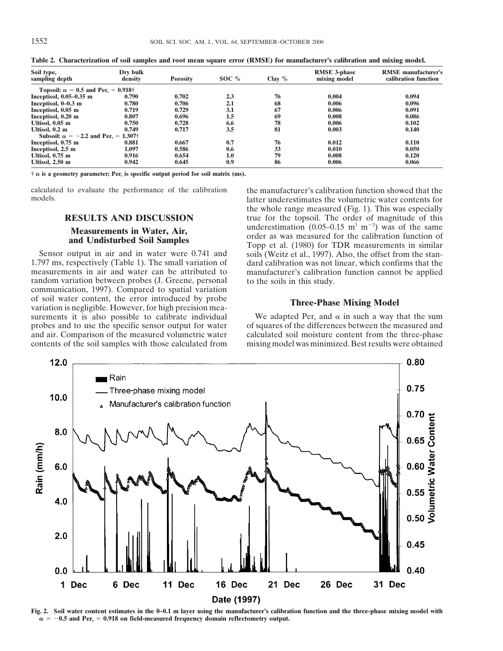| Soil type,                                 | Dry bulk |                 |         |          | <b>RMSE 3-phase</b> | <b>RMSE</b> manufacturer's |
|--------------------------------------------|----------|-----------------|---------|----------|---------------------|----------------------------|
| sampling depth                             | density  | <b>Porosity</b> | SOC $%$ | Clay $%$ | mixing model        | calibration function       |
| Topsoil: $\alpha = 0.5$ and Per, = 0.918†  |          |                 |         |          |                     |                            |
| Inceptisol, $0.05-0.35$ m                  | 0.790    | 0.702           | 2.3     | 76       | 0.004               | 0.094                      |
| Inceptisol, $0-0.3$ m                      | 0.780    | 0.706           | 2.1     | 68       | 0.006               | 0.096                      |
| Inceptisol, 0.05 m                         | 0.719    | 0.729           | 3.1     | 67       | 0.006               | 0.091                      |
| Inceptisol, 0.20 m                         | 0.807    | 0.696           | 1.5     | 69       | 0.008               | 0.086                      |
| Ultisol, $0.05$ m                          | 0.750    | 0.728           | 6.6     | 78       | 0.006               | 0.102                      |
| Ultisol. $0.2 \text{ m}$                   | 0.749    | 0.717           | 3.5     | 81       | 0.003               | 0.140                      |
| Subsoil: $\alpha = -2.2$ and Per. = 1.307† |          |                 |         |          |                     |                            |
| Inceptisol, 0.75 m                         | 0.881    | 0.667           | 0.7     | 76       | 0.012               | 0.110                      |
| Inceptisol, 2.5 m                          | 1.097    | 0.586           | 0.6     | 33       | 0.010               | 0.050                      |
| Ultisol, 0.75 m                            | 0.916    | 0.654           | 1.0     | 79       | 0.008               | 0.120                      |
| Ultisol, $2.50 \text{ m}$                  | 0.942    | 0.645           | 0.9     | 86       | 0.006               | 0.066                      |

**Table 2. Characterization of soil samples and root mean square error (RMSE) for manufacturer's calibration and mixing model.**

 $\dagger \alpha$  is a geometry parameter; Per<sub>s</sub> is specific output period for soil matrix (ms).

calculated to evaluate the performance of the calibration the manufacturer's calibration function showed that the models.

random variation between probes (J. Greene, personal to the soils in this study. communication, 1997). Compared to spatial variation<br>of soil water content, the error introduced by probe of soil water content, the error introduced by probe<br>variation is negligible. However, for high precision mea-<br>surements it is also possible to calibrate individual We adapted Per, and  $\alpha$  in such a way that the sum surements it is also possible to calibrate individual probes and to use the specific sensor output for water and air. Comparison of the measured volumetric water contents of the soil samples with those calculated from

latter underestimates the volumetric water contents for the whole range measured (Fig. 1). This was especially **RESULTS AND DISCUSSION** true for the topsoil. The order of magnitude of this underestimation (0.05–0.15 m<sup>3</sup> m<sup>-3</sup>) was of the same **Measurements in Water, Air,** and Undisturbed Soil Samples<br>
Sensor output in air and in water were 0.741 and<br>
Sensor output in air and in water were 0.741 and<br>
Soils (Weitz et al., 1997). Also, the offset from the stan-Sensor output in air and in water were 0.741 and soils (Weitz et al., 1997). Also, the offset from the stan-<br>1.797 ms, respectively (Table 1). The small variation of dard calibration was not linear, which confirms that the 1.797 ms, respectively (Table 1). The small variation of dard calibration was not linear, which confirms that the measurements in air and water can be attributed to manufacturer's calibration function cannot be applied manufacturer's calibration function cannot be applied

of squares of the differences between the measured and calculated soil moisture content from the three-phase mixing model was minimized. Best results were obtained